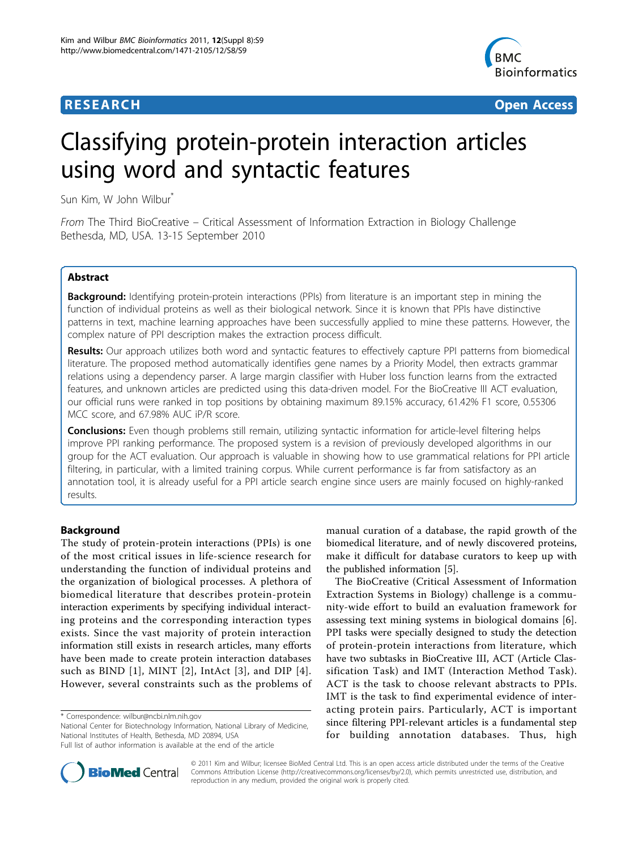

**RESEARCH CONSTRUCTION CONSTRUCTS** 

# Classifying protein-protein interaction articles using word and syntactic features

Sun Kim, W John Wilbur\*

From The Third BioCreative – Critical Assessment of Information Extraction in Biology Challenge Bethesda, MD, USA. 13-15 September 2010

# Abstract

**Background:** Identifying protein-protein interactions (PPIs) from literature is an important step in mining the function of individual proteins as well as their biological network. Since it is known that PPIs have distinctive patterns in text, machine learning approaches have been successfully applied to mine these patterns. However, the complex nature of PPI description makes the extraction process difficult.

Results: Our approach utilizes both word and syntactic features to effectively capture PPI patterns from biomedical literature. The proposed method automatically identifies gene names by a Priority Model, then extracts grammar relations using a dependency parser. A large margin classifier with Huber loss function learns from the extracted features, and unknown articles are predicted using this data-driven model. For the BioCreative III ACT evaluation, our official runs were ranked in top positions by obtaining maximum 89.15% accuracy, 61.42% F1 score, 0.55306 MCC score, and 67.98% AUC iP/R score.

**Conclusions:** Even though problems still remain, utilizing syntactic information for article-level filtering helps improve PPI ranking performance. The proposed system is a revision of previously developed algorithms in our group for the ACT evaluation. Our approach is valuable in showing how to use grammatical relations for PPI article filtering, in particular, with a limited training corpus. While current performance is far from satisfactory as an annotation tool, it is already useful for a PPI article search engine since users are mainly focused on highly-ranked results.

# Background

The study of protein-protein interactions (PPIs) is one of the most critical issues in life-science research for understanding the function of individual proteins and the organization of biological processes. A plethora of biomedical literature that describes protein-protein interaction experiments by specifying individual interacting proteins and the corresponding interaction types exists. Since the vast majority of protein interaction information still exists in research articles, many efforts have been made to create protein interaction databases such as BIND [[1](#page-8-0)], MINT [[2](#page-8-0)], IntAct [[3](#page-8-0)], and DIP [[4\]](#page-8-0). However, several constraints such as the problems of

\* Correspondence: [wilbur@ncbi.nlm.nih.gov](mailto:wilbur@ncbi.nlm.nih.gov)

National Center for Biotechnology Information, National Library of Medicine, National Institutes of Health, Bethesda, MD 20894, USA

manual curation of a database, the rapid growth of the biomedical literature, and of newly discovered proteins, make it difficult for database curators to keep up with the published information [[5\]](#page-8-0).

The BioCreative (Critical Assessment of Information Extraction Systems in Biology) challenge is a community-wide effort to build an evaluation framework for assessing text mining systems in biological domains [\[6](#page-8-0)]. PPI tasks were specially designed to study the detection of protein-protein interactions from literature, which have two subtasks in BioCreative III, ACT (Article Classification Task) and IMT (Interaction Method Task). ACT is the task to choose relevant abstracts to PPIs. IMT is the task to find experimental evidence of interacting protein pairs. Particularly, ACT is important since filtering PPI-relevant articles is a fundamental step for building annotation databases. Thus, high



© 2011 Kim and Wilbur; licensee BioMed Central Ltd. This is an open access article distributed under the terms of the Creative Commons Attribution License [\(http://creativecommons.org/licenses/by/2.0](http://creativecommons.org/licenses/by/2.0)), which permits unrestricted use, distribution, and reproduction in any medium, provided the original work is properly cited.

Full list of author information is available at the end of the article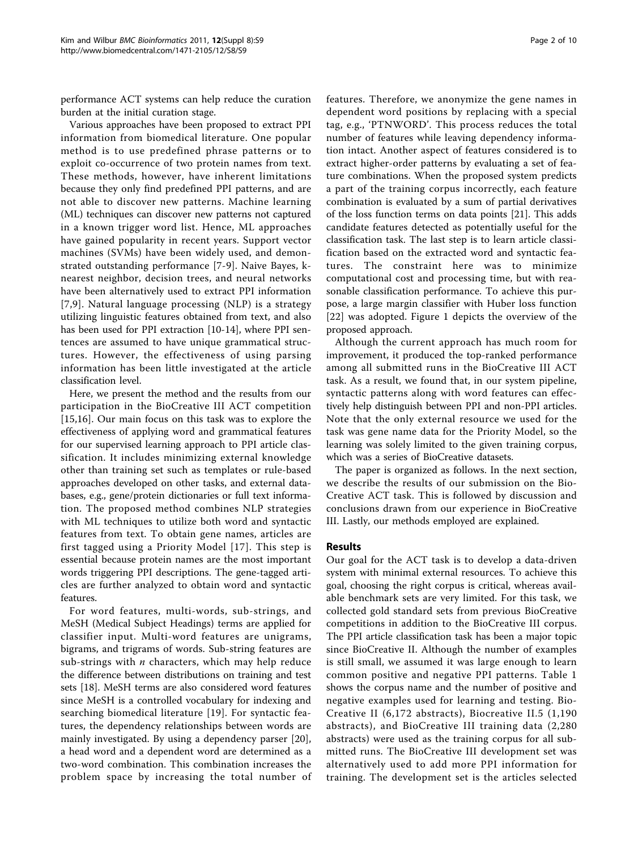performance ACT systems can help reduce the curation burden at the initial curation stage.

Various approaches have been proposed to extract PPI information from biomedical literature. One popular method is to use predefined phrase patterns or to exploit co-occurrence of two protein names from text. These methods, however, have inherent limitations because they only find predefined PPI patterns, and are not able to discover new patterns. Machine learning (ML) techniques can discover new patterns not captured in a known trigger word list. Hence, ML approaches have gained popularity in recent years. Support vector machines (SVMs) have been widely used, and demonstrated outstanding performance [\[7](#page-9-0)-[9](#page-9-0)]. Naive Bayes, knearest neighbor, decision trees, and neural networks have been alternatively used to extract PPI information [[7](#page-9-0),[9\]](#page-9-0). Natural language processing (NLP) is a strategy utilizing linguistic features obtained from text, and also has been used for PPI extraction [[10-14\]](#page-9-0), where PPI sentences are assumed to have unique grammatical structures. However, the effectiveness of using parsing information has been little investigated at the article classification level.

Here, we present the method and the results from our participation in the BioCreative III ACT competition [[15,16](#page-9-0)]. Our main focus on this task was to explore the effectiveness of applying word and grammatical features for our supervised learning approach to PPI article classification. It includes minimizing external knowledge other than training set such as templates or rule-based approaches developed on other tasks, and external databases, e.g., gene/protein dictionaries or full text information. The proposed method combines NLP strategies with ML techniques to utilize both word and syntactic features from text. To obtain gene names, articles are first tagged using a Priority Model [[17](#page-9-0)]. This step is essential because protein names are the most important words triggering PPI descriptions. The gene-tagged articles are further analyzed to obtain word and syntactic features.

For word features, multi-words, sub-strings, and MeSH (Medical Subject Headings) terms are applied for classifier input. Multi-word features are unigrams, bigrams, and trigrams of words. Sub-string features are sub-strings with  $n$  characters, which may help reduce the difference between distributions on training and test sets [\[18\]](#page-9-0). MeSH terms are also considered word features since MeSH is a controlled vocabulary for indexing and searching biomedical literature [\[19\]](#page-9-0). For syntactic features, the dependency relationships between words are mainly investigated. By using a dependency parser [\[20](#page-9-0)], a head word and a dependent word are determined as a two-word combination. This combination increases the problem space by increasing the total number of features. Therefore, we anonymize the gene names in dependent word positions by replacing with a special tag, e.g., 'PTNWORD'. This process reduces the total number of features while leaving dependency information intact. Another aspect of features considered is to extract higher-order patterns by evaluating a set of feature combinations. When the proposed system predicts a part of the training corpus incorrectly, each feature combination is evaluated by a sum of partial derivatives of the loss function terms on data points [\[21](#page-9-0)]. This adds candidate features detected as potentially useful for the classification task. The last step is to learn article classification based on the extracted word and syntactic features. The constraint here was to minimize computational cost and processing time, but with reasonable classification performance. To achieve this purpose, a large margin classifier with Huber loss function [[22](#page-9-0)] was adopted. Figure [1](#page-2-0) depicts the overview of the proposed approach.

Although the current approach has much room for improvement, it produced the top-ranked performance among all submitted runs in the BioCreative III ACT task. As a result, we found that, in our system pipeline, syntactic patterns along with word features can effectively help distinguish between PPI and non-PPI articles. Note that the only external resource we used for the task was gene name data for the Priority Model, so the learning was solely limited to the given training corpus, which was a series of BioCreative datasets.

The paper is organized as follows. In the next section, we describe the results of our submission on the Bio-Creative ACT task. This is followed by discussion and conclusions drawn from our experience in BioCreative III. Lastly, our methods employed are explained.

### Results

Our goal for the ACT task is to develop a data-driven system with minimal external resources. To achieve this goal, choosing the right corpus is critical, whereas available benchmark sets are very limited. For this task, we collected gold standard sets from previous BioCreative competitions in addition to the BioCreative III corpus. The PPI article classification task has been a major topic since BioCreative II. Although the number of examples is still small, we assumed it was large enough to learn common positive and negative PPI patterns. Table [1](#page-2-0) shows the corpus name and the number of positive and negative examples used for learning and testing. Bio-Creative II (6,172 abstracts), Biocreative II.5 (1,190 abstracts), and BioCreative III training data (2,280 abstracts) were used as the training corpus for all submitted runs. The BioCreative III development set was alternatively used to add more PPI information for training. The development set is the articles selected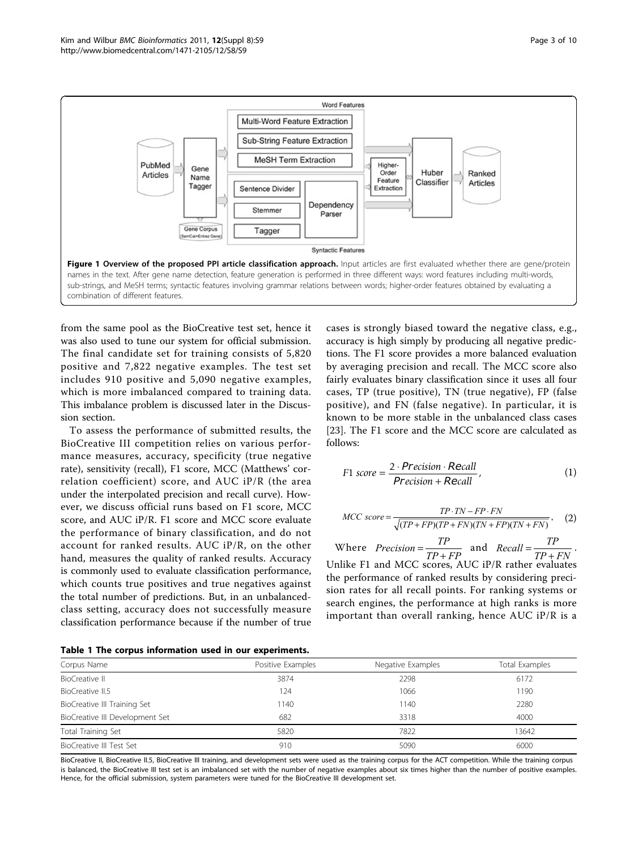<span id="page-2-0"></span>

from the same pool as the BioCreative test set, hence it was also used to tune our system for official submission. The final candidate set for training consists of 5,820 positive and 7,822 negative examples. The test set includes 910 positive and 5,090 negative examples, which is more imbalanced compared to training data. This imbalance problem is discussed later in the Discussion section.

To assess the performance of submitted results, the BioCreative III competition relies on various performance measures, accuracy, specificity (true negative rate), sensitivity (recall), F1 score, MCC (Matthews' correlation coefficient) score, and AUC iP/R (the area under the interpolated precision and recall curve). However, we discuss official runs based on F1 score, MCC score, and AUC iP/R. F1 score and MCC score evaluate the performance of binary classification, and do not account for ranked results. AUC iP/R, on the other hand, measures the quality of ranked results. Accuracy is commonly used to evaluate classification performance, which counts true positives and true negatives against the total number of predictions. But, in an unbalancedclass setting, accuracy does not successfully measure classification performance because if the number of true

cases is strongly biased toward the negative class, e.g., accuracy is high simply by producing all negative predictions. The F1 score provides a more balanced evaluation by averaging precision and recall. The MCC score also fairly evaluates binary classification since it uses all four cases, TP (true positive), TN (true negative), FP (false positive), and FN (false negative). In particular, it is known to be more stable in the unbalanced class cases [[23\]](#page-9-0). The F1 score and the MCC score are calculated as follows:

$$
F1 score = \frac{2 \cdot Precision \cdot Recall}{Precision + Recall},
$$
\n(1)

$$
MCC \text{ score} = \frac{TP \cdot TN - FP \cdot FN}{\sqrt{(TP + FP)(TP + FN)(TN + FP)(TN + FN)}}, \quad (2)
$$

Where  $Precision = \frac{TP}{TP + FP}$  and  $Recall = \frac{TP}{TP + FN}$ .<br>Unlike F1 and MCC scores, AUC iP/R rather evaluates the performance of ranked results by considering precision rates for all recall points. For ranking systems or search engines, the performance at high ranks is more important than overall ranking, hence AUC iP/R is a



| Corpus Name                     | Positive Examples | Negative Examples | Total Examples |
|---------------------------------|-------------------|-------------------|----------------|
| BioCreative II                  | 3874              | 2298              | 6172           |
| BioCreative II.5                | 124               | 1066              | 1190           |
| BioCreative III Training Set    | 1140              | 1140              | 2280           |
| BioCreative III Development Set | 682               | 3318              | 4000           |
| Total Training Set              | 5820              | 7822              | 13642          |
| BioCreative III Test Set        | 910               | 5090              | 6000           |
|                                 |                   |                   |                |

BioCreative II, BioCreative II.5, BioCreative III training, and development sets were used as the training corpus for the ACT competition. While the training corpus is balanced, the BioCreative III test set is an imbalanced set with the number of negative examples about six times higher than the number of positive examples. Hence, for the official submission, system parameters were tuned for the BioCreative III development set.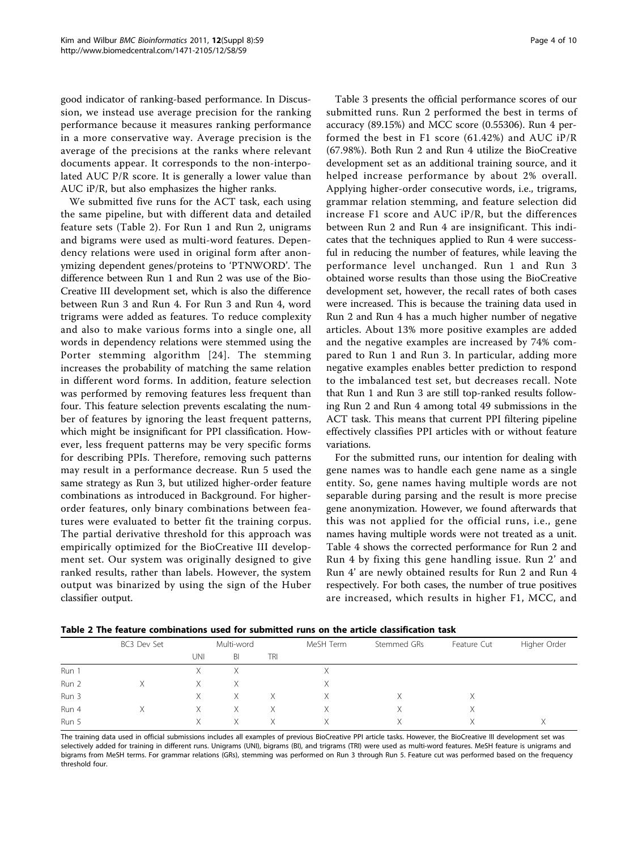good indicator of ranking-based performance. In Discussion, we instead use average precision for the ranking performance because it measures ranking performance in a more conservative way. Average precision is the average of the precisions at the ranks where relevant documents appear. It corresponds to the non-interpolated AUC P/R score. It is generally a lower value than AUC iP/R, but also emphasizes the higher ranks.

We submitted five runs for the ACT task, each using the same pipeline, but with different data and detailed feature sets (Table 2). For Run 1 and Run 2, unigrams and bigrams were used as multi-word features. Dependency relations were used in original form after anonymizing dependent genes/proteins to 'PTNWORD'. The difference between Run 1 and Run 2 was use of the Bio-Creative III development set, which is also the difference between Run 3 and Run 4. For Run 3 and Run 4, word trigrams were added as features. To reduce complexity and also to make various forms into a single one, all words in dependency relations were stemmed using the Porter stemming algorithm [[24\]](#page-9-0). The stemming increases the probability of matching the same relation in different word forms. In addition, feature selection was performed by removing features less frequent than four. This feature selection prevents escalating the number of features by ignoring the least frequent patterns, which might be insignificant for PPI classification. However, less frequent patterns may be very specific forms for describing PPIs. Therefore, removing such patterns may result in a performance decrease. Run 5 used the same strategy as Run 3, but utilized higher-order feature combinations as introduced in Background. For higherorder features, only binary combinations between features were evaluated to better fit the training corpus. The partial derivative threshold for this approach was empirically optimized for the BioCreative III development set. Our system was originally designed to give ranked results, rather than labels. However, the system output was binarized by using the sign of the Huber classifier output.

Table [3](#page-4-0) presents the official performance scores of our submitted runs. Run 2 performed the best in terms of accuracy (89.15%) and MCC score (0.55306). Run 4 performed the best in F1 score (61.42%) and AUC iP/R (67.98%). Both Run 2 and Run 4 utilize the BioCreative development set as an additional training source, and it helped increase performance by about 2% overall. Applying higher-order consecutive words, i.e., trigrams, grammar relation stemming, and feature selection did increase F1 score and AUC iP/R, but the differences between Run 2 and Run 4 are insignificant. This indicates that the techniques applied to Run 4 were successful in reducing the number of features, while leaving the performance level unchanged. Run 1 and Run 3 obtained worse results than those using the BioCreative development set, however, the recall rates of both cases were increased. This is because the training data used in Run 2 and Run 4 has a much higher number of negative articles. About 13% more positive examples are added and the negative examples are increased by 74% compared to Run 1 and Run 3. In particular, adding more negative examples enables better prediction to respond to the imbalanced test set, but decreases recall. Note that Run 1 and Run 3 are still top-ranked results following Run 2 and Run 4 among total 49 submissions in the ACT task. This means that current PPI filtering pipeline effectively classifies PPI articles with or without feature variations.

For the submitted runs, our intention for dealing with gene names was to handle each gene name as a single entity. So, gene names having multiple words are not separable during parsing and the result is more precise gene anonymization. However, we found afterwards that this was not applied for the official runs, i.e., gene names having multiple words were not treated as a unit. Table [4](#page-4-0) shows the corrected performance for Run 2 and Run 4 by fixing this gene handling issue. Run 2' and Run 4' are newly obtained results for Run 2 and Run 4 respectively. For both cases, the number of true positives are increased, which results in higher F1, MCC, and

|       | BC3 Dev Set |     | Multi-word |            | MeSH Term | Stemmed GRs | Feature Cut | Higher Order |
|-------|-------------|-----|------------|------------|-----------|-------------|-------------|--------------|
|       |             | UNI | BI         | <b>TRI</b> |           |             |             |              |
| Run 1 |             | X.  |            |            | X         |             |             |              |
| Run 2 |             | X   | X          |            | X         |             |             |              |
| Run 3 |             | X.  | X          | X          | X         |             | X           |              |
| Run 4 |             | X.  | X          | X          | X         |             |             |              |
| Run 5 |             | X.  | X          |            | X         |             |             |              |

Table 2 The feature combinations used for submitted runs on the article classification task

The training data used in official submissions includes all examples of previous BioCreative PPI article tasks. However, the BioCreative III development set was selectively added for training in different runs. Unigrams (UNI), bigrams (BI), and trigrams (TRI) were used as multi-word features. MeSH feature is unigrams and bigrams from MeSH terms. For grammar relations (GRs), stemming was performed on Run 3 through Run 5. Feature cut was performed based on the frequency threshold four.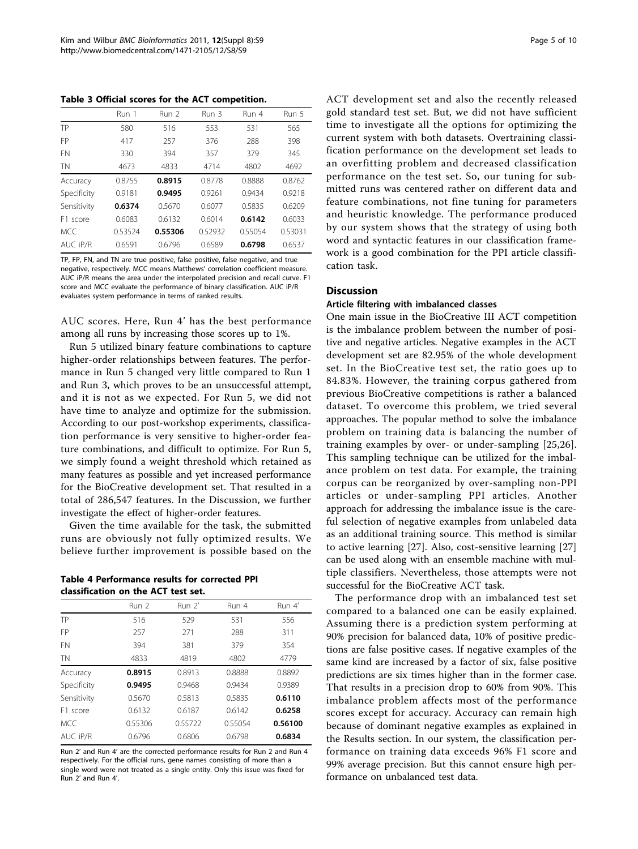<span id="page-4-0"></span>Table 3 Official scores for the ACT competition.

|             | Run 1   | Run 2   | Run 3   | Run 4   | Run 5   |
|-------------|---------|---------|---------|---------|---------|
| TP          | 580     | 516     | 553     | 531     | 565     |
| FP          | 417     | 257     | 376     | 288     | 398     |
| <b>FN</b>   | 330     | 394     | 357     | 379     | 345     |
| <b>TN</b>   | 4673    | 4833    | 4714    | 4802    | 4692    |
| Accuracy    | 0.8755  | 0.8915  | 0.8778  | 0.8888  | 0.8762  |
| Specificity | 0.9181  | 0.9495  | 0.9261  | 0.9434  | 0.9218  |
| Sensitivity | 0.6374  | 0.5670  | 0.6077  | 0.5835  | 0.6209  |
| F1 score    | 0.6083  | 0.6132  | 0.6014  | 0.6142  | 0.6033  |
| MCC.        | 0.53524 | 0.55306 | 0.52932 | 0.55054 | 0.53031 |
| AUC iP/R    | 0.6591  | 0.6796  | 0.6589  | 0.6798  | 0.6537  |

TP, FP, FN, and TN are true positive, false positive, false negative, and true negative, respectively. MCC means Matthews' correlation coefficient measure. AUC iP/R means the area under the interpolated precision and recall curve. F1 score and MCC evaluate the performance of binary classification. AUC iP/R evaluates system performance in terms of ranked results.

AUC scores. Here, Run 4' has the best performance among all runs by increasing those scores up to 1%.

Run 5 utilized binary feature combinations to capture higher-order relationships between features. The performance in Run 5 changed very little compared to Run 1 and Run 3, which proves to be an unsuccessful attempt, and it is not as we expected. For Run 5, we did not have time to analyze and optimize for the submission. According to our post-workshop experiments, classification performance is very sensitive to higher-order feature combinations, and difficult to optimize. For Run 5, we simply found a weight threshold which retained as many features as possible and yet increased performance for the BioCreative development set. That resulted in a total of 286,547 features. In the Discussion, we further investigate the effect of higher-order features.

Given the time available for the task, the submitted runs are obviously not fully optimized results. We believe further improvement is possible based on the

Table 4 Performance results for corrected PPI classification on the ACT test set.

|             | Run <sub>2</sub> | Run 2'  | Run 4   | Run 4'  |
|-------------|------------------|---------|---------|---------|
| TP          | 516              | 529     | 531     | 556     |
| FP          | 257              | 271     | 288     | 311     |
| <b>FN</b>   | 394              | 381     | 379     | 354     |
| <b>TN</b>   | 4833             | 4819    | 4802    | 4779    |
| Accuracy    | 0.8915           | 0.8913  | 0.8888  | 0.8892  |
| Specificity | 0.9495           | 0.9468  | 0.9434  | 0.9389  |
| Sensitivity | 0.5670           | 0.5813  | 0.5835  | 0.6110  |
| F1 score    | 0.6132           | 0.6187  | 0.6142  | 0.6258  |
| MCC.        | 0.55306          | 0.55722 | 0.55054 | 0.56100 |
| AUC iP/R    | 0.6796           | 0.6806  | 0.6798  | 0.6834  |

Run 2' and Run 4' are the corrected performance results for Run 2 and Run 4 respectively. For the official runs, gene names consisting of more than a single word were not treated as a single entity. Only this issue was fixed for Run 2' and Run 4'.

ACT development set and also the recently released gold standard test set. But, we did not have sufficient time to investigate all the options for optimizing the current system with both datasets. Overtraining classification performance on the development set leads to an overfitting problem and decreased classification performance on the test set. So, our tuning for submitted runs was centered rather on different data and feature combinations, not fine tuning for parameters and heuristic knowledge. The performance produced by our system shows that the strategy of using both word and syntactic features in our classification framework is a good combination for the PPI article classification task.

#### **Discussion**

# Article filtering with imbalanced classes

One main issue in the BioCreative III ACT competition is the imbalance problem between the number of positive and negative articles. Negative examples in the ACT development set are 82.95% of the whole development set. In the BioCreative test set, the ratio goes up to 84.83%. However, the training corpus gathered from previous BioCreative competitions is rather a balanced dataset. To overcome this problem, we tried several approaches. The popular method to solve the imbalance problem on training data is balancing the number of training examples by over- or under-sampling [\[25](#page-9-0),[26](#page-9-0)]. This sampling technique can be utilized for the imbalance problem on test data. For example, the training corpus can be reorganized by over-sampling non-PPI articles or under-sampling PPI articles. Another approach for addressing the imbalance issue is the careful selection of negative examples from unlabeled data as an additional training source. This method is similar to active learning [[27\]](#page-9-0). Also, cost-sensitive learning [\[27](#page-9-0)] can be used along with an ensemble machine with multiple classifiers. Nevertheless, those attempts were not successful for the BioCreative ACT task.

The performance drop with an imbalanced test set compared to a balanced one can be easily explained. Assuming there is a prediction system performing at 90% precision for balanced data, 10% of positive predictions are false positive cases. If negative examples of the same kind are increased by a factor of six, false positive predictions are six times higher than in the former case. That results in a precision drop to 60% from 90%. This imbalance problem affects most of the performance scores except for accuracy. Accuracy can remain high because of dominant negative examples as explained in the Results section. In our system, the classification performance on training data exceeds 96% F1 score and 99% average precision. But this cannot ensure high performance on unbalanced test data.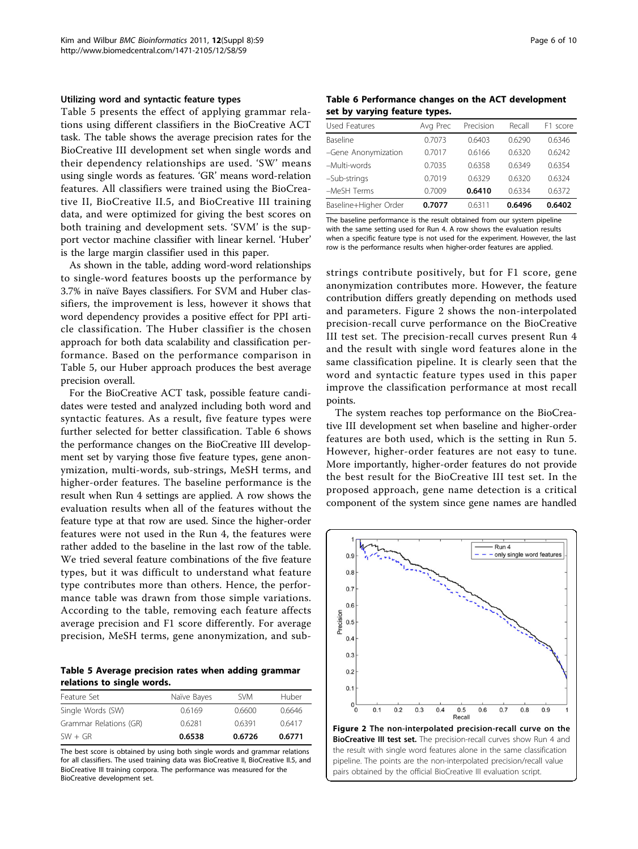#### <span id="page-5-0"></span>Utilizing word and syntactic feature types

Table 5 presents the effect of applying grammar relations using different classifiers in the BioCreative ACT task. The table shows the average precision rates for the BioCreative III development set when single words and their dependency relationships are used. 'SW' means using single words as features. 'GR' means word-relation features. All classifiers were trained using the BioCreative II, BioCreative II.5, and BioCreative III training data, and were optimized for giving the best scores on both training and development sets. 'SVM' is the support vector machine classifier with linear kernel. 'Huber' is the large margin classifier used in this paper.

As shown in the table, adding word-word relationships to single-word features boosts up the performance by 3.7% in naïve Bayes classifiers. For SVM and Huber classifiers, the improvement is less, however it shows that word dependency provides a positive effect for PPI article classification. The Huber classifier is the chosen approach for both data scalability and classification performance. Based on the performance comparison in Table 5, our Huber approach produces the best average precision overall.

For the BioCreative ACT task, possible feature candidates were tested and analyzed including both word and syntactic features. As a result, five feature types were further selected for better classification. Table 6 shows the performance changes on the BioCreative III development set by varying those five feature types, gene anonymization, multi-words, sub-strings, MeSH terms, and higher-order features. The baseline performance is the result when Run 4 settings are applied. A row shows the evaluation results when all of the features without the feature type at that row are used. Since the higher-order features were not used in the Run 4, the features were rather added to the baseline in the last row of the table. We tried several feature combinations of the five feature types, but it was difficult to understand what feature type contributes more than others. Hence, the performance table was drawn from those simple variations. According to the table, removing each feature affects average precision and F1 score differently. For average precision, MeSH terms, gene anonymization, and sub-

Table 5 Average precision rates when adding grammar relations to single words.

| Feature Set            | Naïve Bayes | <b>SVM</b> | Huber  |
|------------------------|-------------|------------|--------|
| Single Words (SW)      | 0.6169      | 0.6600     | 0.6646 |
| Grammar Relations (GR) | 0.6281      | 0.6391     | 0.6417 |
| $SW + GR$              | 0.6538      | 0.6726     | 0.6771 |

The best score is obtained by using both single words and grammar relations for all classifiers. The used training data was BioCreative II, BioCreative II.5, and BioCreative III training corpora. The performance was measured for the BioCreative development set.

| Table 6 Performance changes on the ACT development |  |  |
|----------------------------------------------------|--|--|
| set by varying feature types.                      |  |  |

| Used Features         | Avg Prec | Precision | Recall | F1 score |
|-----------------------|----------|-----------|--------|----------|
| Baseline              | 0.7073   | 0.6403    | 0.6290 | 0.6346   |
| -Gene Anonymization   | 0.7017   | 0.6166    | 0.6320 | 0.6242   |
| -Multi-words          | 0.7035   | 0.6358    | 0.6349 | 0.6354   |
| -Sub-strings          | 0.7019   | 0.6329    | 0.6320 | 0.6324   |
| -MeSH Terms           | 0.7009   | 0.6410    | 0.6334 | 0.6372   |
| Baseline+Higher Order | 0.7077   | 0.6311    | 0.6496 | 0.6402   |

The baseline performance is the result obtained from our system pipeline with the same setting used for Run 4. A row shows the evaluation results when a specific feature type is not used for the experiment. However, the last row is the performance results when higher-order features are applied.

strings contribute positively, but for F1 score, gene anonymization contributes more. However, the feature contribution differs greatly depending on methods used and parameters. Figure 2 shows the non-interpolated precision-recall curve performance on the BioCreative III test set. The precision-recall curves present Run 4 and the result with single word features alone in the same classification pipeline. It is clearly seen that the word and syntactic feature types used in this paper improve the classification performance at most recall points.

The system reaches top performance on the BioCreative III development set when baseline and higher-order features are both used, which is the setting in Run 5. However, higher-order features are not easy to tune. More importantly, higher-order features do not provide the best result for the BioCreative III test set. In the proposed approach, gene name detection is a critical component of the system since gene names are handled

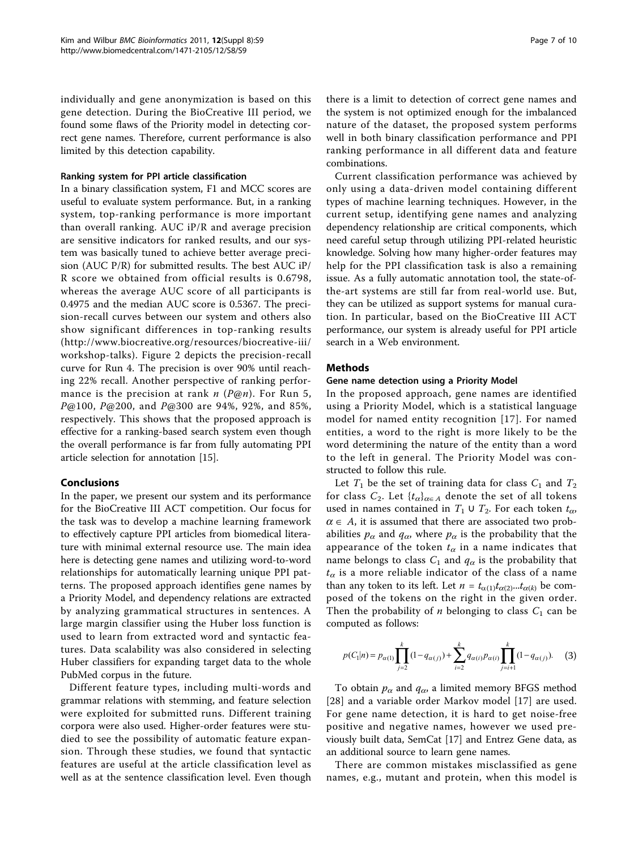individually and gene anonymization is based on this gene detection. During the BioCreative III period, we found some flaws of the Priority model in detecting correct gene names. Therefore, current performance is also limited by this detection capability.

#### Ranking system for PPI article classification

In a binary classification system, F1 and MCC scores are useful to evaluate system performance. But, in a ranking system, top-ranking performance is more important than overall ranking. AUC iP/R and average precision are sensitive indicators for ranked results, and our system was basically tuned to achieve better average precision (AUC P/R) for submitted results. The best AUC iP/ R score we obtained from official results is 0.6798, whereas the average AUC score of all participants is 0.4975 and the median AUC score is 0.5367. The precision-recall curves between our system and others also show significant differences in top-ranking results ([http://www.biocreative.org/resources/biocreative-iii/](http://www.biocreative.org/resources/biocreative-iii/workshop-talks) [workshop-talks\)](http://www.biocreative.org/resources/biocreative-iii/workshop-talks). Figure [2](#page-5-0) depicts the precision-recall curve for Run 4. The precision is over 90% until reaching 22% recall. Another perspective of ranking performance is the precision at rank *n* ( $P@n$ ). For Run 5, P@100, P@200, and P@300 are 94%, 92%, and 85%, respectively. This shows that the proposed approach is effective for a ranking-based search system even though the overall performance is far from fully automating PPI article selection for annotation [\[15\]](#page-9-0).

### Conclusions

In the paper, we present our system and its performance for the BioCreative III ACT competition. Our focus for the task was to develop a machine learning framework to effectively capture PPI articles from biomedical literature with minimal external resource use. The main idea here is detecting gene names and utilizing word-to-word relationships for automatically learning unique PPI patterns. The proposed approach identifies gene names by a Priority Model, and dependency relations are extracted by analyzing grammatical structures in sentences. A large margin classifier using the Huber loss function is used to learn from extracted word and syntactic features. Data scalability was also considered in selecting Huber classifiers for expanding target data to the whole PubMed corpus in the future.

Different feature types, including multi-words and grammar relations with stemming, and feature selection were exploited for submitted runs. Different training corpora were also used. Higher-order features were studied to see the possibility of automatic feature expansion. Through these studies, we found that syntactic features are useful at the article classification level as well as at the sentence classification level. Even though

there is a limit to detection of correct gene names and the system is not optimized enough for the imbalanced nature of the dataset, the proposed system performs well in both binary classification performance and PPI ranking performance in all different data and feature combinations.

Current classification performance was achieved by only using a data-driven model containing different types of machine learning techniques. However, in the current setup, identifying gene names and analyzing dependency relationship are critical components, which need careful setup through utilizing PPI-related heuristic knowledge. Solving how many higher-order features may help for the PPI classification task is also a remaining issue. As a fully automatic annotation tool, the state-ofthe-art systems are still far from real-world use. But, they can be utilized as support systems for manual curation. In particular, based on the BioCreative III ACT performance, our system is already useful for PPI article search in a Web environment.

# Methods

#### Gene name detection using a Priority Model

In the proposed approach, gene names are identified using a Priority Model, which is a statistical language model for named entity recognition [[17](#page-9-0)]. For named entities, a word to the right is more likely to be the word determining the nature of the entity than a word to the left in general. The Priority Model was constructed to follow this rule.

Let  $T_1$  be the set of training data for class  $C_1$  and  $T_2$ for class  $C_2$ . Let  $\{t_\alpha\}_{\alpha \in A}$  denote the set of all tokens used in names contained in  $T_1 \cup T_2$ . For each token  $t_{\alpha}$ ,  $\alpha \in A$ , it is assumed that there are associated two probabilities  $p_{\alpha}$  and  $q_{\alpha}$ , where  $p_{\alpha}$  is the probability that the appearance of the token  $t_{\alpha}$  in a name indicates that name belongs to class  $C_1$  and  $q_\alpha$  is the probability that  $t_{\alpha}$  is a more reliable indicator of the class of a name than any token to its left. Let  $n = t_{\alpha(1)}t_{\alpha(2)}...t_{\alpha(k)}$  be composed of the tokens on the right in the given order. Then the probability of  $n$  belonging to class  $C_1$  can be computed as follows:

$$
p(C_1|n) = p_{\alpha(1)} \prod_{j=2}^k (1 - q_{\alpha(j)}) + \sum_{i=2}^k q_{\alpha(i)} p_{\alpha(i)} \prod_{j=i+1}^k (1 - q_{\alpha(j)})
$$
 (3)

To obtain  $p_{\alpha}$  and  $q_{\alpha}$ , a limited memory BFGS method [[28](#page-9-0)] and a variable order Markov model [[17\]](#page-9-0) are used. For gene name detection, it is hard to get noise-free positive and negative names, however we used previously built data, SemCat [[17\]](#page-9-0) and Entrez Gene data, as an additional source to learn gene names.

There are common mistakes misclassified as gene names, e.g., mutant and protein, when this model is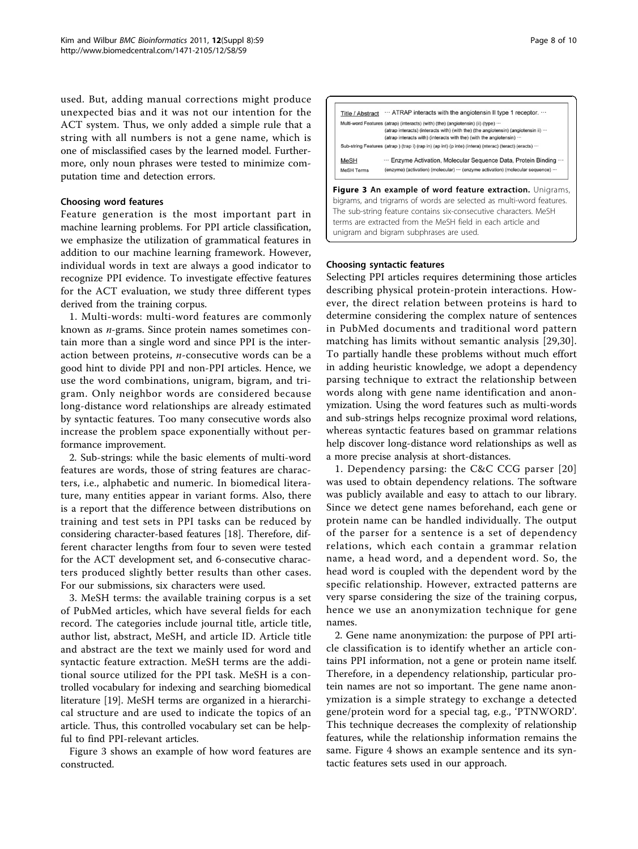used. But, adding manual corrections might produce unexpected bias and it was not our intention for the ACT system. Thus, we only added a simple rule that a string with all numbers is not a gene name, which is one of misclassified cases by the learned model. Furthermore, only noun phrases were tested to minimize computation time and detection errors.

### Choosing word features

Feature generation is the most important part in machine learning problems. For PPI article classification, we emphasize the utilization of grammatical features in addition to our machine learning framework. However, individual words in text are always a good indicator to recognize PPI evidence. To investigate effective features for the ACT evaluation, we study three different types derived from the training corpus.

1. Multi-words: multi-word features are commonly known as *n*-grams. Since protein names sometimes contain more than a single word and since PPI is the interaction between proteins, n-consecutive words can be a good hint to divide PPI and non-PPI articles. Hence, we use the word combinations, unigram, bigram, and trigram. Only neighbor words are considered because long-distance word relationships are already estimated by syntactic features. Too many consecutive words also increase the problem space exponentially without performance improvement.

2. Sub-strings: while the basic elements of multi-word features are words, those of string features are characters, i.e., alphabetic and numeric. In biomedical literature, many entities appear in variant forms. Also, there is a report that the difference between distributions on training and test sets in PPI tasks can be reduced by considering character-based features [\[18](#page-9-0)]. Therefore, different character lengths from four to seven were tested for the ACT development set, and 6-consecutive characters produced slightly better results than other cases. For our submissions, six characters were used.

3. MeSH terms: the available training corpus is a set of PubMed articles, which have several fields for each record. The categories include journal title, article title, author list, abstract, MeSH, and article ID. Article title and abstract are the text we mainly used for word and syntactic feature extraction. MeSH terms are the additional source utilized for the PPI task. MeSH is a controlled vocabulary for indexing and searching biomedical literature [\[19\]](#page-9-0). MeSH terms are organized in a hierarchical structure and are used to indicate the topics of an article. Thus, this controlled vocabulary set can be helpful to find PPI-relevant articles.

Figure 3 shows an example of how word features are constructed.

|                                                                                                                                                                                    | Multi-word Features (atrap) (interacts) (with) (the) (angiotensin) (ii) (type)<br>(atrap interacts) (interacts with) (with the) (the angiotensin) (angiotensin ii) |  |  |  |
|------------------------------------------------------------------------------------------------------------------------------------------------------------------------------------|--------------------------------------------------------------------------------------------------------------------------------------------------------------------|--|--|--|
|                                                                                                                                                                                    | (atrap interacts with) (interacts with the) (with the angiotensin)                                                                                                 |  |  |  |
|                                                                                                                                                                                    | Sub-string Features (atrap ) (trap i) (rap in) (ap int) (p inte) (intera) (nterac) (teract) (eracts)                                                               |  |  |  |
| " Enzyme Activation, Molecular Sequence Data, Protein Binding "<br><b>MeSH</b><br>(enzyme) (activation) (molecular)  (enzyme activation) (molecular sequence)<br><b>MeSH Terms</b> |                                                                                                                                                                    |  |  |  |
|                                                                                                                                                                                    | Figure 3 An example of word feature extraction. Unigrams,                                                                                                          |  |  |  |
|                                                                                                                                                                                    | bigrams, and trigrams of words are selected as multi-word features.                                                                                                |  |  |  |
|                                                                                                                                                                                    | The sub-string feature contains six-consecutive characters. MeSH                                                                                                   |  |  |  |
|                                                                                                                                                                                    | terms are extracted from the MeSH field in each article and                                                                                                        |  |  |  |
|                                                                                                                                                                                    | unigram and bigram subphrases are used.                                                                                                                            |  |  |  |

Title / Abstract ... ATRAP interacts with the angiotensin II type 1 receptor. ...

# Choosing syntactic features

Selecting PPI articles requires determining those articles describing physical protein-protein interactions. However, the direct relation between proteins is hard to determine considering the complex nature of sentences in PubMed documents and traditional word pattern matching has limits without semantic analysis [\[29](#page-9-0),[30](#page-9-0)]. To partially handle these problems without much effort in adding heuristic knowledge, we adopt a dependency parsing technique to extract the relationship between words along with gene name identification and anonymization. Using the word features such as multi-words and sub-strings helps recognize proximal word relations, whereas syntactic features based on grammar relations help discover long-distance word relationships as well as a more precise analysis at short-distances.

1. Dependency parsing: the C&C CCG parser [[20](#page-9-0)] was used to obtain dependency relations. The software was publicly available and easy to attach to our library. Since we detect gene names beforehand, each gene or protein name can be handled individually. The output of the parser for a sentence is a set of dependency relations, which each contain a grammar relation name, a head word, and a dependent word. So, the head word is coupled with the dependent word by the specific relationship. However, extracted patterns are very sparse considering the size of the training corpus, hence we use an anonymization technique for gene names.

2. Gene name anonymization: the purpose of PPI article classification is to identify whether an article contains PPI information, not a gene or protein name itself. Therefore, in a dependency relationship, particular protein names are not so important. The gene name anonymization is a simple strategy to exchange a detected gene/protein word for a special tag, e.g., 'PTNWORD'. This technique decreases the complexity of relationship features, while the relationship information remains the same. Figure [4](#page-8-0) shows an example sentence and its syntactic features sets used in our approach.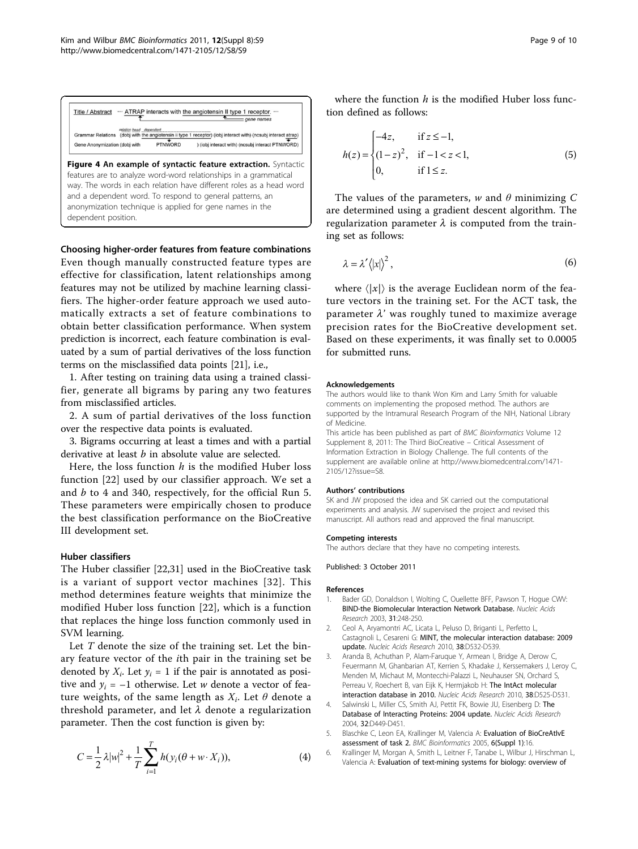<span id="page-8-0"></span>

#### Choosing higher-order features from feature combinations

Even though manually constructed feature types are effective for classification, latent relationships among features may not be utilized by machine learning classifiers. The higher-order feature approach we used automatically extracts a set of feature combinations to obtain better classification performance. When system prediction is incorrect, each feature combination is evaluated by a sum of partial derivatives of the loss function terms on the misclassified data points [[21](#page-9-0)], i.e.,

1. After testing on training data using a trained classifier, generate all bigrams by paring any two features from misclassified articles.

2. A sum of partial derivatives of the loss function over the respective data points is evaluated.

3. Bigrams occurring at least a times and with a partial derivative at least *b* in absolute value are selected.

Here, the loss function  $h$  is the modified Huber loss function [[22\]](#page-9-0) used by our classifier approach. We set a and b to 4 and 340, respectively, for the official Run 5. These parameters were empirically chosen to produce the best classification performance on the BioCreative III development set.

# Huber classifiers

The Huber classifier [[22](#page-9-0),[31](#page-9-0)] used in the BioCreative task is a variant of support vector machines [[32](#page-9-0)]. This method determines feature weights that minimize the modified Huber loss function [\[22](#page-9-0)], which is a function that replaces the hinge loss function commonly used in SVM learning.

Let  $T$  denote the size of the training set. Let the binary feature vector of the ith pair in the training set be denoted by  $X_i$ . Let  $y_i = 1$  if the pair is annotated as positive and  $y_i = -1$  otherwise. Let w denote a vector of feature weights, of the same length as  $X_i$ . Let  $\theta$  denote a threshold parameter, and let  $\lambda$  denote a regularization parameter. Then the cost function is given by:

$$
C = \frac{1}{2} \lambda |w|^2 + \frac{1}{T} \sum_{i=1}^{T} h(y_i(\theta + w \cdot X_i)),
$$
 (4)

where the function  $h$  is the modified Huber loss function defined as follows:

$$
h(z) = \begin{cases} -4z, & \text{if } z \le -1, \\ (1-z)^2, & \text{if } -1 < z < 1, \\ 0, & \text{if } 1 \le z. \end{cases} \tag{5}
$$

The values of the parameters, w and  $\theta$  minimizing C are determined using a gradient descent algorithm. The regularization parameter  $\lambda$  is computed from the training set as follows:

$$
\lambda = \lambda' \langle |x| \rangle^2, \tag{6}
$$

where  $\langle |x| \rangle$  is the average Euclidean norm of the feature vectors in the training set. For the ACT task, the parameter  $\lambda'$  was roughly tuned to maximize average precision rates for the BioCreative development set. Based on these experiments, it was finally set to 0.0005 for submitted runs.

#### Acknowledgements

The authors would like to thank Won Kim and Larry Smith for valuable comments on implementing the proposed method. The authors are supported by the Intramural Research Program of the NIH, National Library of Medicine.

This article has been published as part of BMC Bioinformatics Volume 12 Supplement 8, 2011: The Third BioCreative – Critical Assessment of Information Extraction in Biology Challenge. The full contents of the supplement are available online at [http://www.biomedcentral.com/1471-](http://www.biomedcentral.com/1471-2105/12?issue=S8) [2105/12?issue=S8.](http://www.biomedcentral.com/1471-2105/12?issue=S8)

#### Authors' contributions

SK and JW proposed the idea and SK carried out the computational experiments and analysis. JW supervised the project and revised this manuscript. All authors read and approved the final manuscript.

#### Competing interests

The authors declare that they have no competing interests.

#### Published: 3 October 2011

#### References

- 1. Bader GD, Donaldson I, Wolting C, Ouellette BFF, Pawson T, Hogue CWV: [BIND-the Biomolecular Interaction Network Database.](http://www.ncbi.nlm.nih.gov/pubmed/12519993?dopt=Abstract) Nucleic Acids Research 2003, 31:248-250.
- 2. Ceol A, Aryamontri AC, Licata L, Peluso D, Briganti L, Perfetto L, Castagnoli L, Cesareni G: [MINT, the molecular interaction database: 2009](http://www.ncbi.nlm.nih.gov/pubmed/19897547?dopt=Abstract) [update.](http://www.ncbi.nlm.nih.gov/pubmed/19897547?dopt=Abstract) Nucleic Acids Research 2010, 38:D532-D539.
- 3. Aranda B, Achuthan P, Alam-Faruque Y, Armean I, Bridge A, Derow C, Feuermann M, Ghanbarian AT, Kerrien S, Khadake J, Kerssemakers J, Leroy C, Menden M, Michaut M, Montecchi-Palazzi L, Neuhauser SN, Orchard S, Perreau V, Roechert B, van Eijk K, Hermjakob H: [The IntAct molecular](http://www.ncbi.nlm.nih.gov/pubmed/19850723?dopt=Abstract) [interaction database in 2010.](http://www.ncbi.nlm.nih.gov/pubmed/19850723?dopt=Abstract) Nucleic Acids Research 2010, 38:D525-D531.
- 4. Salwinski L, Miller CS, Smith AJ, Pettit FK, Bowie JU, Eisenberg D: [The](http://www.ncbi.nlm.nih.gov/pubmed/14681454?dopt=Abstract) [Database of Interacting Proteins: 2004 update.](http://www.ncbi.nlm.nih.gov/pubmed/14681454?dopt=Abstract) Nucleic Acids Research 2004, 32:D449-D451.
- 5. Blaschke C, Leon EA, Krallinger M, Valencia A: Evaluation of BioCreAtlvE [assessment of task 2.](http://www.ncbi.nlm.nih.gov/pubmed/15960828?dopt=Abstract) BMC Bioinformatics 2005, 6(Suppl 1):16.
- 6. Krallinger M, Morgan A, Smith L, Leitner F, Tanabe L, Wilbur J, Hirschman L, Valencia A: [Evaluation of text-mining systems for biology: overview of](http://www.ncbi.nlm.nih.gov/pubmed/18834487?dopt=Abstract)